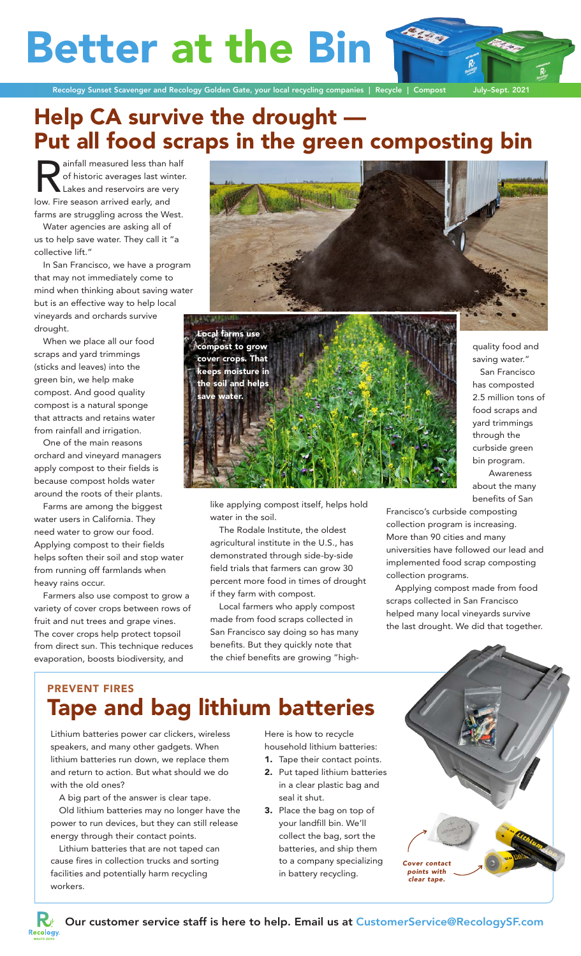# **Better at the Bin**



## Help CA survive the drought — Put all food scraps in the green composting bin

ainfall measured less than half<br>of historic averages last winter.<br>Lakes and reservoirs are very<br>low. Fire season arrived early, and of historic averages last winter. Lakes and reservoirs are very low. Fire season arrived early, and farms are struggling across the West.

Water agencies are asking all of us to help save water. They call it "a collective lift."

In San Francisco, we have a program that may not immediately come to mind when thinking about saving water but is an effective way to help local vineyards and orchards survive drought.

When we place all our food scraps and yard trimmings (sticks and leaves) into the green bin, we help make compost. And good quality compost is a natural sponge that attracts and retains water from rainfall and irrigation.

One of the main reasons orchard and vineyard managers apply compost to their fields is because compost holds water around the roots of their plants.

Farms are among the biggest water users in California. They need water to grow our food. Applying compost to their fields helps soften their soil and stop water from running off farmlands when heavy rains occur.

Farmers also use compost to grow a variety of cover crops between rows of fruit and nut trees and grape vines. The cover crops help protect topsoil from direct sun. This technique reduces evaporation, boosts biodiversity, and



Local farms use compost to grow over crops. That keeps moisture in the soil and helps water.

like applying compost itself, helps hold water in the soil.

The Rodale Institute, the oldest agricultural institute in the U.S., has demonstrated through side-by-side field trials that farmers can grow 30 percent more food in times of drought if they farm with compost.

Local farmers who apply compost made from food scraps collected in San Francisco say doing so has many benefits. But they quickly note that the chief benefits are growing "high-

quality food and saving water." San Francisco has composted 2.5 million tons of food scraps and yard trimmings through the curbside green bin program. Awareness about the many benefits of San

Francisco's curbside composting collection program is increasing. More than 90 cities and many universities have followed our lead and implemented food scrap composting collection programs.

Applying compost made from food scraps collected in San Francisco helped many local vineyards survive the last drought. We did that together.

#### PREVENT FIRES Tape and bag lithium batteries

Lithium batteries power car clickers, wireless speakers, and many other gadgets. When lithium batteries run down, we replace them and return to action. But what should we do with the old ones?

A big part of the answer is clear tape.

Old lithium batteries may no longer have the power to run devices, but they can still release energy through their contact points.

Lithium batteries that are not taped can cause fires in collection trucks and sorting facilities and potentially harm recycling workers.

Here is how to recycle household lithium batteries:

- 1. Tape their contact points.
- 2. Put taped lithium batteries in a clear plastic bag and seal it shut.
- 3. Place the bag on top of your landfill bin. We'll collect the bag, sort the batteries, and ship them to a company specializing in battery recycling.





l